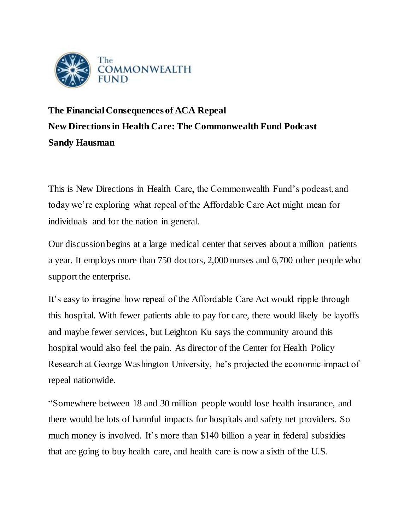

## **The Financial Consequences of ACA Repeal New Directions in Health Care: The Commonwealth Fund Podcast Sandy Hausman**

This is New Directions in Health Care, the Commonwealth Fund's podcast, and today we're exploring what repeal of the Affordable Care Act might mean for individuals and for the nation in general.

Our discussion begins at a large medical center that serves about a million patients a year. It employs more than 750 doctors, 2,000 nurses and 6,700 other people who support the enterprise.

It's easy to imagine how repeal of the Affordable Care Act would ripple through this hospital. With fewer patients able to pay for care, there would likely be layoffs and maybe fewer services, but Leighton Ku says the community around this hospital would also feel the pain. As director of the Center for Health Policy Research at George Washington University, he's projected the economic impact of repeal nationwide.

"Somewhere between 18 and 30 million people would lose health insurance, and there would be lots of harmful impacts for hospitals and safety net providers. So much money is involved. It's more than \$140 billion a year in federal subsidies that are going to buy health care, and health care is now a sixth of the U.S.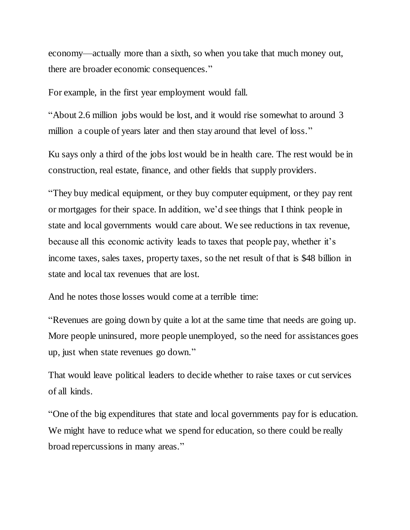economy—actually more than a sixth, so when you take that much money out, there are broader economic consequences."

For example, in the first year employment would fall.

"About 2.6 million jobs would be lost, and it would rise somewhat to around 3 million a couple of years later and then stay around that level of loss."

Ku says only a third of the jobs lost would be in health care. The rest would be in construction, real estate, finance, and other fields that supply providers.

"They buy medical equipment, or they buy computer equipment, or they pay rent or mortgages for their space. In addition, we'd see things that I think people in state and local governments would care about. We see reductions in tax revenue, because all this economic activity leads to taxes that people pay, whether it's income taxes, sales taxes, property taxes, so the net result of that is \$48 billion in state and local tax revenues that are lost.

And he notes those losses would come at a terrible time:

"Revenues are going down by quite a lot at the same time that needs are going up. More people uninsured, more people unemployed, so the need for assistances goes up, just when state revenues go down."

That would leave political leaders to decide whether to raise taxes or cut services of all kinds.

"One of the big expenditures that state and local governments pay for is education. We might have to reduce what we spend for education, so there could be really broad repercussions in many areas."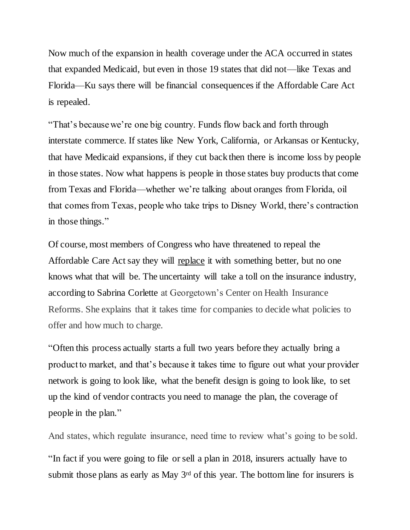Now much of the expansion in health coverage under the ACA occurred in states that expanded Medicaid, but even in those 19 states that did not—like Texas and Florida—Ku says there will be financial consequences if the Affordable Care Act is repealed.

"That's because we're one big country. Funds flow back and forth through interstate commerce. If states like New York, California, or Arkansas or Kentucky, that have Medicaid expansions, if they cut back then there is income loss by people in those states. Now what happens is people in those states buy products that come from Texas and Florida—whether we're talking about oranges from Florida, oil that comes from Texas, people who take trips to Disney World, there's contraction in those things."

Of course, most members of Congress who have threatened to repeal the Affordable Care Act say they will replace it with something better, but no one knows what that will be. The uncertainty will take a toll on the insurance industry, according to Sabrina Corlette at Georgetown's Center on Health Insurance Reforms. She explains that it takes time for companies to decide what policies to offer and how much to charge.

"Often this process actually starts a full two years before they actually bring a product to market, and that's because it takes time to figure out what your provider network is going to look like, what the benefit design is going to look like, to set up the kind of vendor contracts you need to manage the plan, the coverage of people in the plan."

And states, which regulate insurance, need time to review what's going to be sold.

"In fact if you were going to file or sell a plan in 2018, insurers actually have to submit those plans as early as May 3<sup>rd</sup> of this year. The bottom line for insurers is